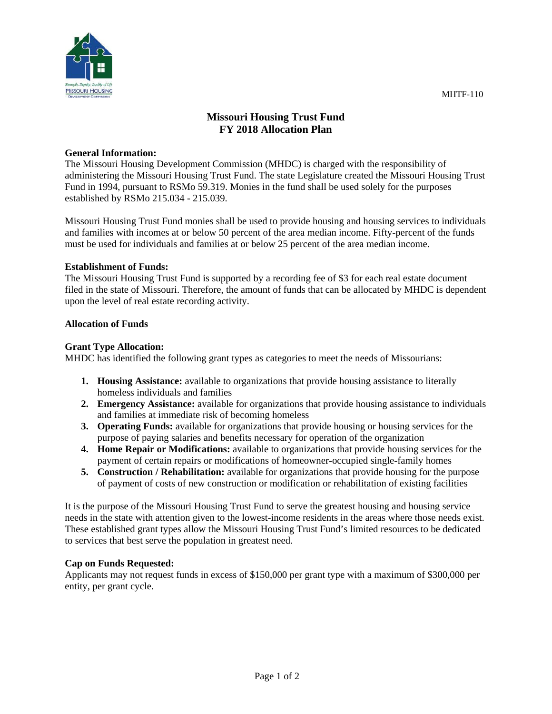

# **Missouri Housing Trust Fund FY 2018 Allocation Plan**

#### **General Information:**

The Missouri Housing Development Commission (MHDC) is charged with the responsibility of administering the Missouri Housing Trust Fund. The state Legislature created the Missouri Housing Trust Fund in 1994, pursuant to RSMo 59.319. Monies in the fund shall be used solely for the purposes established by RSMo 215.034 - 215.039.

Missouri Housing Trust Fund monies shall be used to provide housing and housing services to individuals and families with incomes at or below 50 percent of the area median income. Fifty-percent of the funds must be used for individuals and families at or below 25 percent of the area median income.

# **Establishment of Funds:**

The Missouri Housing Trust Fund is supported by a recording fee of \$3 for each real estate document filed in the state of Missouri. Therefore, the amount of funds that can be allocated by MHDC is dependent upon the level of real estate recording activity.

# **Allocation of Funds**

# **Grant Type Allocation:**

MHDC has identified the following grant types as categories to meet the needs of Missourians:

- **1. Housing Assistance:** available to organizations that provide housing assistance to literally homeless individuals and families
- **2. Emergency Assistance:** available for organizations that provide housing assistance to individuals and families at immediate risk of becoming homeless
- **3. Operating Funds:** available for organizations that provide housing or housing services for the purpose of paying salaries and benefits necessary for operation of the organization
- **4. Home Repair or Modifications:** available to organizations that provide housing services for the payment of certain repairs or modifications of homeowner-occupied single-family homes
- **5. Construction / Rehabilitation:** available for organizations that provide housing for the purpose of payment of costs of new construction or modification or rehabilitation of existing facilities

It is the purpose of the Missouri Housing Trust Fund to serve the greatest housing and housing service needs in the state with attention given to the lowest-income residents in the areas where those needs exist. These established grant types allow the Missouri Housing Trust Fund's limited resources to be dedicated to services that best serve the population in greatest need.

# **Cap on Funds Requested:**

Applicants may not request funds in excess of \$150,000 per grant type with a maximum of \$300,000 per entity, per grant cycle.